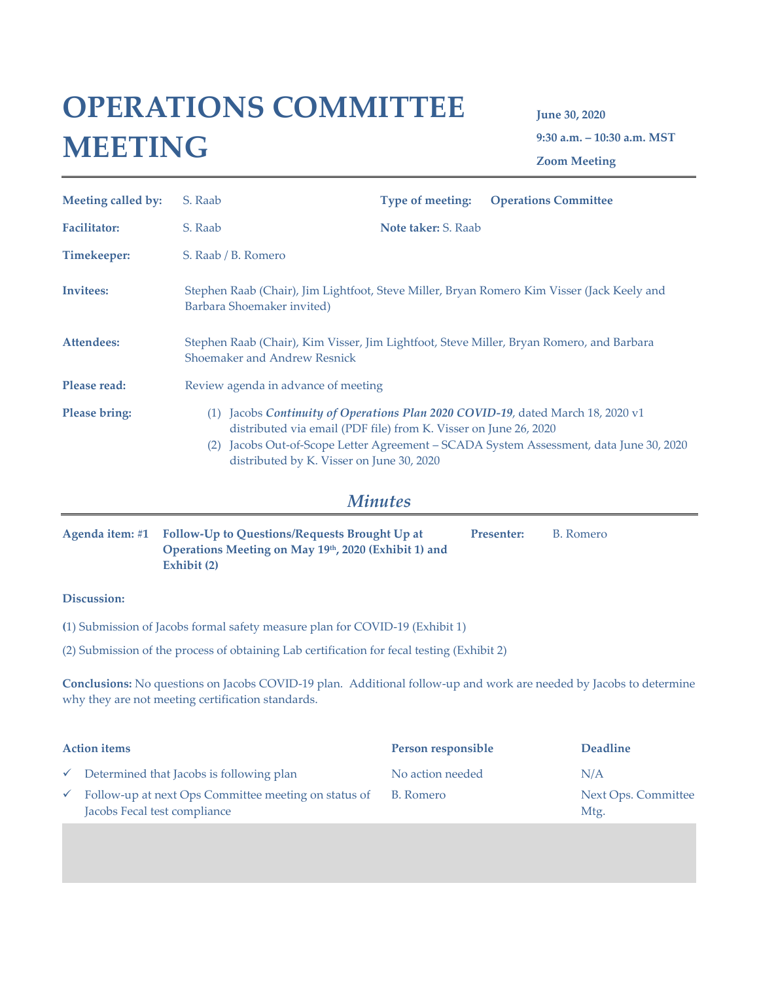# **OPERATIONS COMMITTEE MEETING**

**June 30, 2020 9:30 a.m. – 10:30 a.m. MST Zoom Meeting**

| Meeting called by:   | S. Raab                                                                                                                     | <b>Type of meeting:</b>    | <b>Operations Committee</b>                                                                                                                                       |
|----------------------|-----------------------------------------------------------------------------------------------------------------------------|----------------------------|-------------------------------------------------------------------------------------------------------------------------------------------------------------------|
| <b>Facilitator:</b>  | S. Raab                                                                                                                     | <b>Note taker: S. Raab</b> |                                                                                                                                                                   |
| Timekeeper:          | S. Raab / B. Romero                                                                                                         |                            |                                                                                                                                                                   |
| Invitees:            | Stephen Raab (Chair), Jim Lightfoot, Steve Miller, Bryan Romero Kim Visser (Jack Keely and<br>Barbara Shoemaker invited)    |                            |                                                                                                                                                                   |
| Attendees:           | Stephen Raab (Chair), Kim Visser, Jim Lightfoot, Steve Miller, Bryan Romero, and Barbara<br>Shoemaker and Andrew Resnick    |                            |                                                                                                                                                                   |
| Please read:         | Review agenda in advance of meeting                                                                                         |                            |                                                                                                                                                                   |
| <b>Please bring:</b> | (1)<br>distributed via email (PDF file) from K. Visser on June 26, 2020<br>(2)<br>distributed by K. Visser on June 30, 2020 |                            | Jacobs Continuity of Operations Plan 2020 COVID-19, dated March 18, 2020 v1<br>Jacobs Out-of-Scope Letter Agreement - SCADA System Assessment, data June 30, 2020 |

## *Minutes*

| Agenda item: #1 Follow-Up to Questions/Requests Brought Up at | Presenter: | B. Romero |
|---------------------------------------------------------------|------------|-----------|
| Operations Meeting on May 19th, 2020 (Exhibit 1) and          |            |           |
| Exhibit (2)                                                   |            |           |

#### **Discussion:**

- **(**1) Submission of Jacobs formal safety measure plan for COVID-19 (Exhibit 1)
- (2) Submission of the process of obtaining Lab certification for fecal testing (Exhibit 2)

**Conclusions:** No questions on Jacobs COVID-19 plan. Additional follow-up and work are needed by Jacobs to determine why they are not meeting certification standards.

| <b>Action items</b> |                                                                                      | Person responsible | <b>Deadline</b>             |
|---------------------|--------------------------------------------------------------------------------------|--------------------|-----------------------------|
|                     | $\checkmark$ Determined that Jacobs is following plan                                | No action needed   | N/A                         |
|                     | Follow-up at next Ops Committee meeting on status of<br>Jacobs Fecal test compliance | B. Romero          | Next Ops. Committee<br>Mtg. |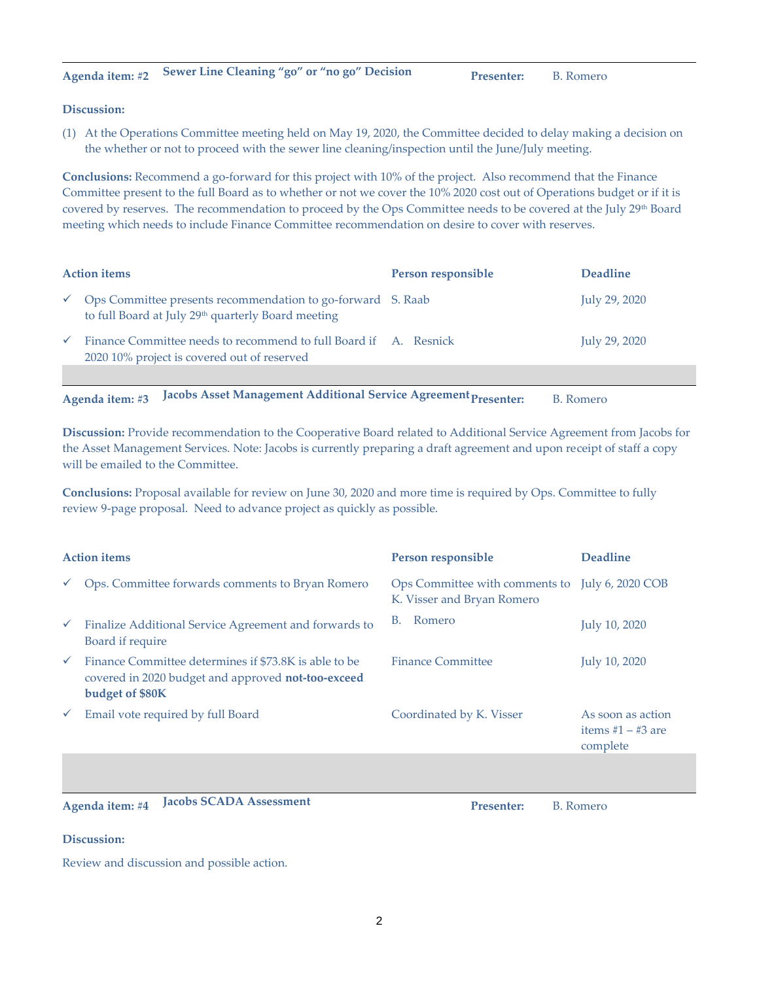#### **Discussion:**

(1) At the Operations Committee meeting held on May 19, 2020, the Committee decided to delay making a decision on the whether or not to proceed with the sewer line cleaning/inspection until the June/July meeting.

**Conclusions:** Recommend a go-forward for this project with 10% of the project. Also recommend that the Finance Committee present to the full Board as to whether or not we cover the 10% 2020 cost out of Operations budget or if it is covered by reserves. The recommendation to proceed by the Ops Committee needs to be covered at the July 29<sup>th</sup> Board meeting which needs to include Finance Committee recommendation on desire to cover with reserves.

| <b>Action items</b> |                                                                                                                               | Person responsible | <b>Deadline</b> |
|---------------------|-------------------------------------------------------------------------------------------------------------------------------|--------------------|-----------------|
| $\checkmark$        | Ops Committee presents recommendation to go-forward S. Raab<br>to full Board at July 29 <sup>th</sup> quarterly Board meeting |                    | July 29, 2020   |
| $\checkmark$        | Finance Committee needs to recommend to full Board if A. Resnick<br>2020 10% project is covered out of reserved               |                    | July 29, 2020   |
|                     | .<br>$\sim$ $\sim$ $\sim$ $\sim$                                                                                              |                    |                 |

Agenda item: #3 **Jacobs Asset Management Additional Service Agreement Presenter:** B. Romero

**Discussion:** Provide recommendation to the Cooperative Board related to Additional Service Agreement from Jacobs for the Asset Management Services. Note: Jacobs is currently preparing a draft agreement and upon receipt of staff a copy will be emailed to the Committee.

**Conclusions:** Proposal available for review on June 30, 2020 and more time is required by Ops. Committee to fully review 9-page proposal.Need to advance project as quickly as possible.

| <b>Action items</b> |                                                                                                                                | Person responsible                                                            | <b>Deadline</b>                                      |
|---------------------|--------------------------------------------------------------------------------------------------------------------------------|-------------------------------------------------------------------------------|------------------------------------------------------|
|                     | Ops. Committee forwards comments to Bryan Romero                                                                               | Ops Committee with comments to July 6, 2020 COB<br>K. Visser and Bryan Romero |                                                      |
| $\checkmark$        | Finalize Additional Service Agreement and forwards to<br>Board if require                                                      | Romero<br>В.                                                                  | July 10, 2020                                        |
| $\checkmark$        | Finance Committee determines if \$73.8K is able to be<br>covered in 2020 budget and approved not-too-exceed<br>budget of \$80K | Finance Committee                                                             | July 10, 2020                                        |
| $\checkmark$        | Email vote required by full Board                                                                                              | Coordinated by K. Visser                                                      | As soon as action<br>items $#1 - #3$ are<br>complete |
|                     |                                                                                                                                |                                                                               |                                                      |

Agenda item: #4 **Jacobs SCADA Assessment Presenter:** B. Romero

#### **Discussion:**

Review and discussion and possible action.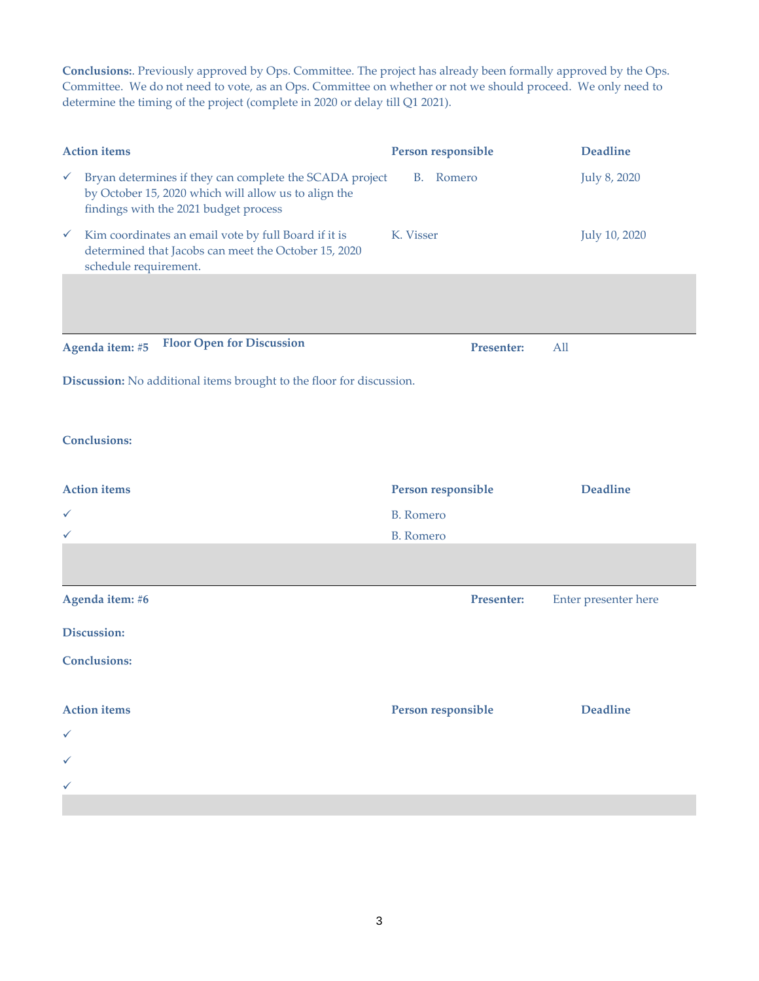**Conclusions:**. Previously approved by Ops. Committee. The project has already been formally approved by the Ops. Committee. We do not need to vote, as an Ops. Committee on whether or not we should proceed. We only need to determine the timing of the project (complete in 2020 or delay till Q1 2021).

|              | <b>Action items</b>                                                                                                                                      | Person responsible | <b>Deadline</b>      |
|--------------|----------------------------------------------------------------------------------------------------------------------------------------------------------|--------------------|----------------------|
| $\checkmark$ | Bryan determines if they can complete the SCADA project<br>by October 15, 2020 which will allow us to align the<br>findings with the 2021 budget process | B. Romero          | July 8, 2020         |
| $\checkmark$ | Kim coordinates an email vote by full Board if it is<br>determined that Jacobs can meet the October 15, 2020<br>schedule requirement.                    | K. Visser          | July 10, 2020        |
|              |                                                                                                                                                          |                    |                      |
|              | <b>Floor Open for Discussion</b><br>Agenda item: #5                                                                                                      | <b>Presenter:</b>  | All                  |
|              | Discussion: No additional items brought to the floor for discussion.                                                                                     |                    |                      |
|              | <b>Conclusions:</b>                                                                                                                                      |                    |                      |
|              | <b>Action</b> items                                                                                                                                      | Person responsible | <b>Deadline</b>      |
| ✓            |                                                                                                                                                          | <b>B.</b> Romero   |                      |
| ✓            |                                                                                                                                                          | <b>B.</b> Romero   |                      |
|              |                                                                                                                                                          |                    |                      |
|              |                                                                                                                                                          |                    |                      |
|              | Agenda item: #6                                                                                                                                          | Presenter:         | Enter presenter here |
|              | Discussion:                                                                                                                                              |                    |                      |
|              | <b>Conclusions:</b>                                                                                                                                      |                    |                      |
|              | <b>Action</b> items                                                                                                                                      | Person responsible | <b>Deadline</b>      |
| ✓            |                                                                                                                                                          |                    |                      |
| ✓            |                                                                                                                                                          |                    |                      |
| ✓            |                                                                                                                                                          |                    |                      |